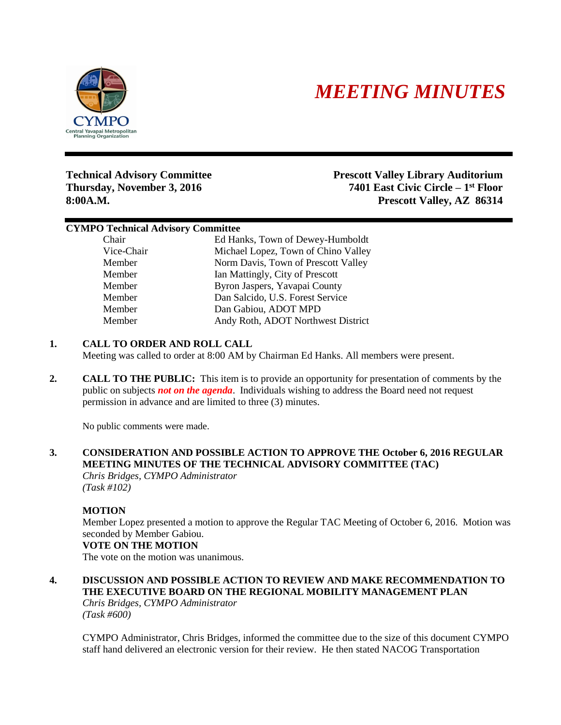

# *MEETING MINUTES*

**Thursday, November 3, 2016** 

**Technical Advisory Committee Prescott Valley Library Auditorium** 7401 East Civic Circle – 1<sup>st</sup> Floor **8:00A.M. Prescott Valley, AZ 86314**

#### **CYMPO Technical Advisory Committee**

Chair Ed Hanks, Town of Dewey-Humboldt Vice-Chair Michael Lopez, Town of Chino Valley Member Norm Davis, Town of Prescott Valley Member Ian Mattingly, City of Prescott Member Byron Jaspers, Yavapai County Member Dan Salcido, U.S. Forest Service Member Dan Gabiou, ADOT MPD Member Andy Roth, ADOT Northwest District

# **1. CALL TO ORDER AND ROLL CALL**

Meeting was called to order at 8:00 AM by Chairman Ed Hanks. All members were present.

**2. CALL TO THE PUBLIC:** This item is to provide an opportunity for presentation of comments by the public on subjects *not on the agenda*. Individuals wishing to address the Board need not request permission in advance and are limited to three (3) minutes.

No public comments were made.

#### **3. CONSIDERATION AND POSSIBLE ACTION TO APPROVE THE October 6, 2016 REGULAR MEETING MINUTES OF THE TECHNICAL ADVISORY COMMITTEE (TAC)** *Chris Bridges, CYMPO Administrator*

*(Task #102)*

# **MOTION**

Member Lopez presented a motion to approve the Regular TAC Meeting of October 6, 2016. Motion was seconded by Member Gabiou.

# **VOTE ON THE MOTION**

The vote on the motion was unanimous.

#### **4. DISCUSSION AND POSSIBLE ACTION TO REVIEW AND MAKE RECOMMENDATION TO THE EXECUTIVE BOARD ON THE REGIONAL MOBILITY MANAGEMENT PLAN** *Chris Bridges, CYMPO Administrator*

*(Task #600)*

CYMPO Administrator, Chris Bridges, informed the committee due to the size of this document CYMPO staff hand delivered an electronic version for their review. He then stated NACOG Transportation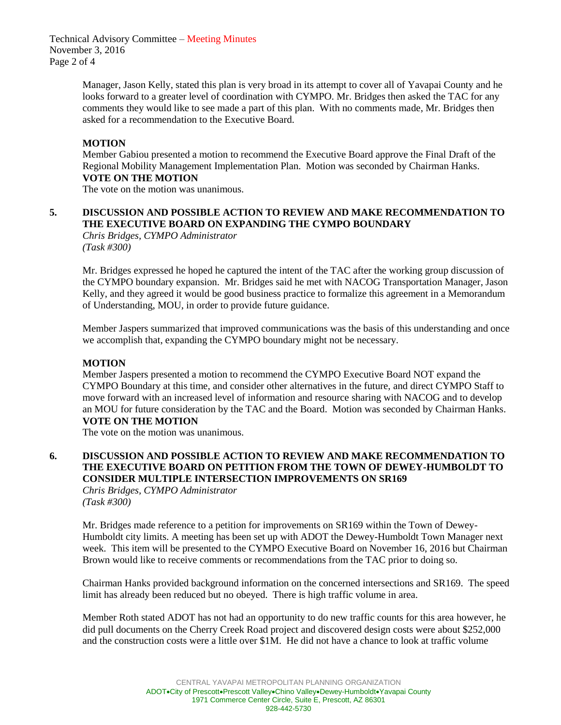Technical Advisory Committee – Meeting Minutes November 3, 2016 Page 2 of 4

> Manager, Jason Kelly, stated this plan is very broad in its attempt to cover all of Yavapai County and he looks forward to a greater level of coordination with CYMPO. Mr. Bridges then asked the TAC for any comments they would like to see made a part of this plan. With no comments made, Mr. Bridges then asked for a recommendation to the Executive Board.

#### **MOTION**

Member Gabiou presented a motion to recommend the Executive Board approve the Final Draft of the Regional Mobility Management Implementation Plan. Motion was seconded by Chairman Hanks. **VOTE ON THE MOTION**

The vote on the motion was unanimous.

# **5. DISCUSSION AND POSSIBLE ACTION TO REVIEW AND MAKE RECOMMENDATION TO THE EXECUTIVE BOARD ON EXPANDING THE CYMPO BOUNDARY**

*Chris Bridges, CYMPO Administrator (Task #300)*

Mr. Bridges expressed he hoped he captured the intent of the TAC after the working group discussion of the CYMPO boundary expansion. Mr. Bridges said he met with NACOG Transportation Manager, Jason Kelly, and they agreed it would be good business practice to formalize this agreement in a Memorandum of Understanding, MOU, in order to provide future guidance.

Member Jaspers summarized that improved communications was the basis of this understanding and once we accomplish that, expanding the CYMPO boundary might not be necessary.

### **MOTION**

Member Jaspers presented a motion to recommend the CYMPO Executive Board NOT expand the CYMPO Boundary at this time, and consider other alternatives in the future, and direct CYMPO Staff to move forward with an increased level of information and resource sharing with NACOG and to develop an MOU for future consideration by the TAC and the Board. Motion was seconded by Chairman Hanks. **VOTE ON THE MOTION**

The vote on the motion was unanimous.

#### **6. DISCUSSION AND POSSIBLE ACTION TO REVIEW AND MAKE RECOMMENDATION TO THE EXECUTIVE BOARD ON PETITION FROM THE TOWN OF DEWEY-HUMBOLDT TO CONSIDER MULTIPLE INTERSECTION IMPROVEMENTS ON SR169** *Chris Bridges, CYMPO Administrator*

*(Task #300)*

Mr. Bridges made reference to a petition for improvements on SR169 within the Town of Dewey-Humboldt city limits. A meeting has been set up with ADOT the Dewey-Humboldt Town Manager next week. This item will be presented to the CYMPO Executive Board on November 16, 2016 but Chairman Brown would like to receive comments or recommendations from the TAC prior to doing so.

Chairman Hanks provided background information on the concerned intersections and SR169. The speed limit has already been reduced but no obeyed. There is high traffic volume in area.

Member Roth stated ADOT has not had an opportunity to do new traffic counts for this area however, he did pull documents on the Cherry Creek Road project and discovered design costs were about \$252,000 and the construction costs were a little over \$1M. He did not have a chance to look at traffic volume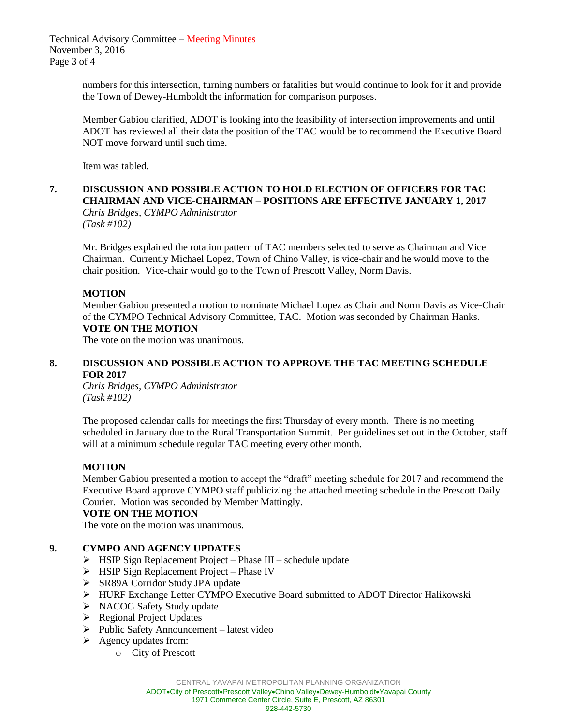Technical Advisory Committee – Meeting Minutes November 3, 2016 Page 3 of 4

> numbers for this intersection, turning numbers or fatalities but would continue to look for it and provide the Town of Dewey-Humboldt the information for comparison purposes.

> Member Gabiou clarified, ADOT is looking into the feasibility of intersection improvements and until ADOT has reviewed all their data the position of the TAC would be to recommend the Executive Board NOT move forward until such time.

Item was tabled.

### **7. DISCUSSION AND POSSIBLE ACTION TO HOLD ELECTION OF OFFICERS FOR TAC CHAIRMAN AND VICE-CHAIRMAN – POSITIONS ARE EFFECTIVE JANUARY 1, 2017** *Chris Bridges, CYMPO Administrator*

*(Task #102)*

Mr. Bridges explained the rotation pattern of TAC members selected to serve as Chairman and Vice Chairman. Currently Michael Lopez, Town of Chino Valley, is vice-chair and he would move to the chair position. Vice-chair would go to the Town of Prescott Valley, Norm Davis.

#### **MOTION**

Member Gabiou presented a motion to nominate Michael Lopez as Chair and Norm Davis as Vice-Chair of the CYMPO Technical Advisory Committee, TAC. Motion was seconded by Chairman Hanks. **VOTE ON THE MOTION**

The vote on the motion was unanimous.

#### **8. DISCUSSION AND POSSIBLE ACTION TO APPROVE THE TAC MEETING SCHEDULE FOR 2017**

*Chris Bridges, CYMPO Administrator (Task #102)*

The proposed calendar calls for meetings the first Thursday of every month. There is no meeting scheduled in January due to the Rural Transportation Summit. Per guidelines set out in the October, staff will at a minimum schedule regular TAC meeting every other month.

#### **MOTION**

Member Gabiou presented a motion to accept the "draft" meeting schedule for 2017 and recommend the Executive Board approve CYMPO staff publicizing the attached meeting schedule in the Prescott Daily Courier. Motion was seconded by Member Mattingly.

#### **VOTE ON THE MOTION**

The vote on the motion was unanimous.

# **9. CYMPO AND AGENCY UPDATES**

- $\triangleright$  HSIP Sign Replacement Project Phase III schedule update
- $\triangleright$  HSIP Sign Replacement Project Phase IV
- ▶ SR89A Corridor Study JPA update
- HURF Exchange Letter CYMPO Executive Board submitted to ADOT Director Halikowski
- > NACOG Safety Study update
- $\triangleright$  Regional Project Updates
- $\triangleright$  Public Safety Announcement latest video
- $\triangleright$  Agency updates from:
	- o City of Prescott